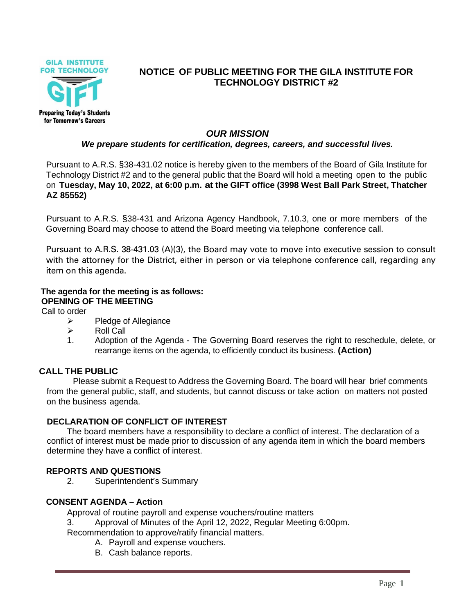

# **NOTICE OF PUBLIC MEETING FOR THE GILA INSTITUTE FOR TECHNOLOGY DISTRICT #2**

## *OUR MISSION*

## *We prepare students for certification, degrees, careers, and successful lives.*

Pursuant to A.R.S. §38-431.02 notice is hereby given to the members of the Board of Gila Institute for Technology District #2 and to the general public that the Board will hold a meeting open to the public on **Tuesday, May 10, 2022, at 6:00 p.m. at the GIFT office (3998 West Ball Park Street, Thatcher AZ 85552)**

Pursuant to A.R.S. §38-431 and Arizona Agency Handbook, 7.10.3, one or more members of the Governing Board may choose to attend the Board meeting via telephone conference call.

Pursuant to A.R.S. 38-431.03 (A)(3), the Board may vote to move into executive session to consult with the attorney for the District, either in person or via telephone conference call, regarding any item on this agenda.

## **The agenda for the meeting is as follows: OPENING OF THE MEETING**

Call to order

- ➢ Pledge of Allegiance
- ➢ Roll Call
- 1. Adoption of the Agenda The Governing Board reserves the right to reschedule, delete, or rearrange items on the agenda, to efficiently conduct its business. **(Action)**

## **CALL THE PUBLIC**

Please submit a Request to Address the Governing Board. The board will hear brief comments from the general public, staff, and students, but cannot discuss or take action on matters not posted on the business agenda.

## **DECLARATION OF CONFLICT OF INTEREST**

The board members have a responsibility to declare a conflict of interest. The declaration of a conflict of interest must be made prior to discussion of any agenda item in which the board members determine they have a conflict of interest.

## **REPORTS AND QUESTIONS**

2. Superintendent's Summary

#### **CONSENT AGENDA – Action**

Approval of routine payroll and expense vouchers/routine matters

3. Approval of Minutes of the April 12, 2022, Regular Meeting 6:00pm.

Recommendation to approve/ratify financial matters.

- A. Payroll and expense vouchers.
- B. Cash balance reports.